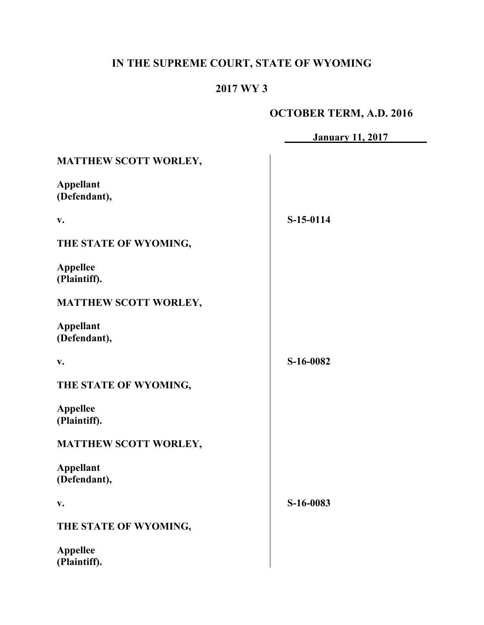# **IN THE SUPREME COURT, STATE OF WYOMING**

## **2017 WY 3**

# **OCTOBER TERM, A.D. 2016**

|                                  | <b>January 11, 2017</b> |
|----------------------------------|-------------------------|
| <b>MATTHEW SCOTT WORLEY,</b>     |                         |
| <b>Appellant</b><br>(Defendant), |                         |
| V.                               | S-15-0114               |
| THE STATE OF WYOMING,            |                         |
| <b>Appellee</b><br>(Plaintiff).  |                         |
| <b>MATTHEW SCOTT WORLEY,</b>     |                         |
| <b>Appellant</b><br>(Defendant), |                         |
| V.                               | S-16-0082               |
| THE STATE OF WYOMING,            |                         |
| <b>Appellee</b><br>(Plaintiff).  |                         |
| MATTHEW SCOTT WORLEY,            |                         |
| <b>Appellant</b><br>(Defendant), |                         |
| V.                               | S-16-0083               |
| THE STATE OF WYOMING,            |                         |
| <b>Appellee</b><br>(Plaintiff).  |                         |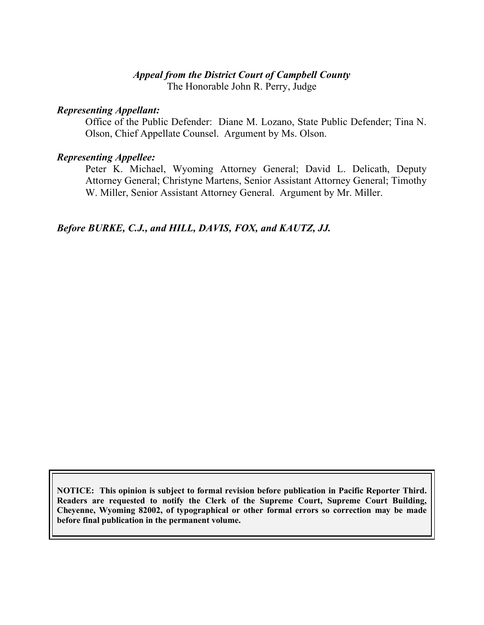### *Appeal from the District Court of Campbell County*

The Honorable John R. Perry, Judge

#### *Representing Appellant:*

Office of the Public Defender: Diane M. Lozano, State Public Defender; Tina N. Olson, Chief Appellate Counsel. Argument by Ms. Olson.

#### *Representing Appellee:*

Peter K. Michael, Wyoming Attorney General; David L. Delicath, Deputy Attorney General; Christyne Martens, Senior Assistant Attorney General; Timothy W. Miller, Senior Assistant Attorney General. Argument by Mr. Miller.

*Before BURKE, C.J., and HILL, DAVIS, FOX, and KAUTZ, JJ.*

**NOTICE: This opinion is subject to formal revision before publication in Pacific Reporter Third. Readers are requested to notify the Clerk of the Supreme Court, Supreme Court Building, Cheyenne, Wyoming 82002, of typographical or other formal errors so correction may be made before final publication in the permanent volume.**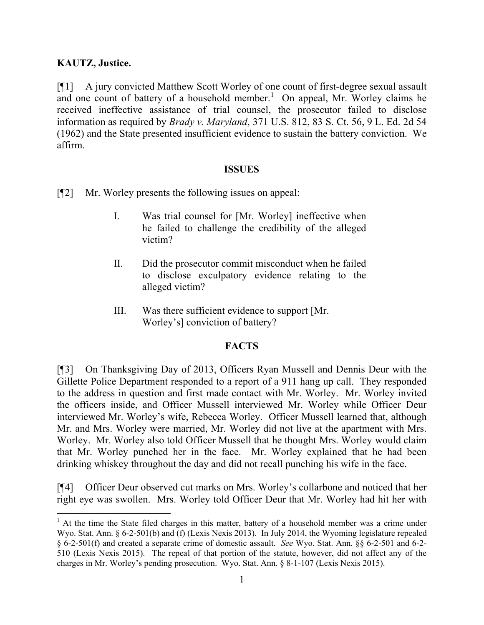## **KAUTZ, Justice.**

 $\overline{a}$ 

[¶1] A jury convicted Matthew Scott Worley of one count of first-degree sexual assault and one count of battery of a household member.<sup>1</sup> On appeal, Mr. Worley claims he received ineffective assistance of trial counsel, the prosecutor failed to disclose information as required by *Brady v. Maryland*, 371 U.S. 812, 83 S. Ct. 56, 9 L. Ed. 2d 54 (1962) and the State presented insufficient evidence to sustain the battery conviction. We affirm.

#### **ISSUES**

- [¶2] Mr. Worley presents the following issues on appeal:
	- I. Was trial counsel for [Mr. Worley] ineffective when he failed to challenge the credibility of the alleged victim?
	- II. Did the prosecutor commit misconduct when he failed to disclose exculpatory evidence relating to the alleged victim?
	- III. Was there sufficient evidence to support [Mr. Worley's] conviction of battery?

#### **FACTS**

[¶3] On Thanksgiving Day of 2013, Officers Ryan Mussell and Dennis Deur with the Gillette Police Department responded to a report of a 911 hang up call. They responded to the address in question and first made contact with Mr. Worley. Mr. Worley invited the officers inside, and Officer Mussell interviewed Mr. Worley while Officer Deur interviewed Mr. Worley's wife, Rebecca Worley. Officer Mussell learned that, although Mr. and Mrs. Worley were married, Mr. Worley did not live at the apartment with Mrs. Worley. Mr. Worley also told Officer Mussell that he thought Mrs. Worley would claim that Mr. Worley punched her in the face. Mr. Worley explained that he had been drinking whiskey throughout the day and did not recall punching his wife in the face.

[¶4] Officer Deur observed cut marks on Mrs. Worley's collarbone and noticed that her right eye was swollen. Mrs. Worley told Officer Deur that Mr. Worley had hit her with

<sup>&</sup>lt;sup>1</sup> At the time the State filed charges in this matter, battery of a household member was a crime under Wyo. Stat. Ann. § 6-2-501(b) and (f) (Lexis Nexis 2013). In July 2014, the Wyoming legislature repealed § 6-2-501(f) and created a separate crime of domestic assault. *See* Wyo. Stat. Ann. §§ 6-2-501 and 6-2- 510 (Lexis Nexis 2015). The repeal of that portion of the statute, however, did not affect any of the charges in Mr. Worley's pending prosecution. Wyo. Stat. Ann. § 8-1-107 (Lexis Nexis 2015).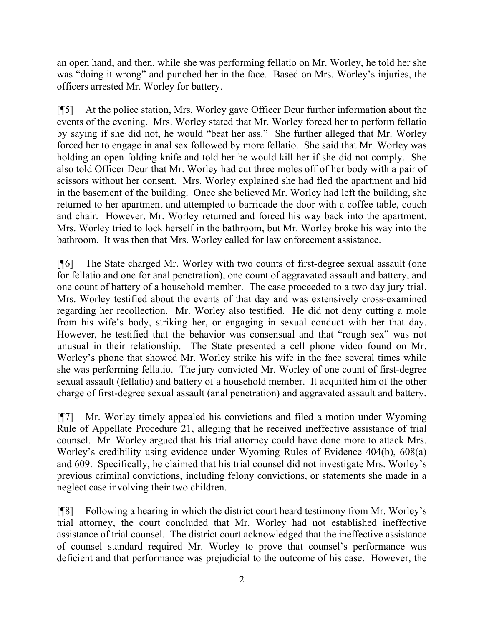an open hand, and then, while she was performing fellatio on Mr. Worley, he told her she was "doing it wrong" and punched her in the face. Based on Mrs. Worley's injuries, the officers arrested Mr. Worley for battery.

[¶5] At the police station, Mrs. Worley gave Officer Deur further information about the events of the evening. Mrs. Worley stated that Mr. Worley forced her to perform fellatio by saying if she did not, he would "beat her ass." She further alleged that Mr. Worley forced her to engage in anal sex followed by more fellatio. She said that Mr. Worley was holding an open folding knife and told her he would kill her if she did not comply. She also told Officer Deur that Mr. Worley had cut three moles off of her body with a pair of scissors without her consent. Mrs. Worley explained she had fled the apartment and hid in the basement of the building. Once she believed Mr. Worley had left the building, she returned to her apartment and attempted to barricade the door with a coffee table, couch and chair. However, Mr. Worley returned and forced his way back into the apartment. Mrs. Worley tried to lock herself in the bathroom, but Mr. Worley broke his way into the bathroom. It was then that Mrs. Worley called for law enforcement assistance.

[¶6] The State charged Mr. Worley with two counts of first-degree sexual assault (one for fellatio and one for anal penetration), one count of aggravated assault and battery, and one count of battery of a household member. The case proceeded to a two day jury trial. Mrs. Worley testified about the events of that day and was extensively cross-examined regarding her recollection. Mr. Worley also testified. He did not deny cutting a mole from his wife's body, striking her, or engaging in sexual conduct with her that day. However, he testified that the behavior was consensual and that "rough sex" was not unusual in their relationship. The State presented a cell phone video found on Mr. Worley's phone that showed Mr. Worley strike his wife in the face several times while she was performing fellatio. The jury convicted Mr. Worley of one count of first-degree sexual assault (fellatio) and battery of a household member. It acquitted him of the other charge of first-degree sexual assault (anal penetration) and aggravated assault and battery.

[¶7] Mr. Worley timely appealed his convictions and filed a motion under Wyoming Rule of Appellate Procedure 21, alleging that he received ineffective assistance of trial counsel. Mr. Worley argued that his trial attorney could have done more to attack Mrs. Worley's credibility using evidence under Wyoming Rules of Evidence 404(b), 608(a) and 609. Specifically, he claimed that his trial counsel did not investigate Mrs. Worley's previous criminal convictions, including felony convictions, or statements she made in a neglect case involving their two children.

[¶8] Following a hearing in which the district court heard testimony from Mr. Worley's trial attorney, the court concluded that Mr. Worley had not established ineffective assistance of trial counsel. The district court acknowledged that the ineffective assistance of counsel standard required Mr. Worley to prove that counsel's performance was deficient and that performance was prejudicial to the outcome of his case. However, the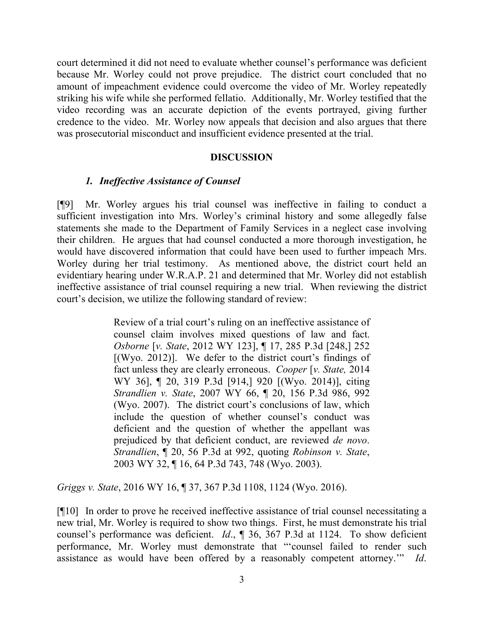court determined it did not need to evaluate whether counsel's performance was deficient because Mr. Worley could not prove prejudice. The district court concluded that no amount of impeachment evidence could overcome the video of Mr. Worley repeatedly striking his wife while she performed fellatio. Additionally, Mr. Worley testified that the video recording was an accurate depiction of the events portrayed, giving further credence to the video. Mr. Worley now appeals that decision and also argues that there was prosecutorial misconduct and insufficient evidence presented at the trial.

#### **DISCUSSION**

#### *1. Ineffective Assistance of Counsel*

[¶9] Mr. Worley argues his trial counsel was ineffective in failing to conduct a sufficient investigation into Mrs. Worley's criminal history and some allegedly false statements she made to the Department of Family Services in a neglect case involving their children. He argues that had counsel conducted a more thorough investigation, he would have discovered information that could have been used to further impeach Mrs. Worley during her trial testimony. As mentioned above, the district court held an evidentiary hearing under W.R.A.P. 21 and determined that Mr. Worley did not establish ineffective assistance of trial counsel requiring a new trial. When reviewing the district court's decision, we utilize the following standard of review:

> Review of a trial court's ruling on an ineffective assistance of counsel claim involves mixed questions of law and fact. *Osborne* [*v. State*, 2012 WY 123], ¶ 17, 285 P.3d [248,] 252 [(Wyo. 2012)]. We defer to the district court's findings of fact unless they are clearly erroneous. *Cooper* [*v. State,* 2014 WY 36], ¶ 20, 319 P.3d [914,] 920 [(Wyo. 2014)], citing *Strandlien v. State*, 2007 WY 66, ¶ 20, 156 P.3d 986, 992 (Wyo. 2007). The district court's conclusions of law, which include the question of whether counsel's conduct was deficient and the question of whether the appellant was prejudiced by that deficient conduct, are reviewed *de novo*. *Strandlien*, ¶ 20, 56 P.3d at 992, quoting *Robinson v. State*, 2003 WY 32, ¶ 16, 64 P.3d 743, 748 (Wyo. 2003).

*Griggs v. State*, 2016 WY 16, ¶ 37, 367 P.3d 1108, 1124 (Wyo. 2016).

[¶10] In order to prove he received ineffective assistance of trial counsel necessitating a new trial, Mr. Worley is required to show two things. First, he must demonstrate his trial counsel's performance was deficient. *Id*., ¶ 36, 367 P.3d at 1124. To show deficient performance, Mr. Worley must demonstrate that "'counsel failed to render such assistance as would have been offered by a reasonably competent attorney.'" *Id*.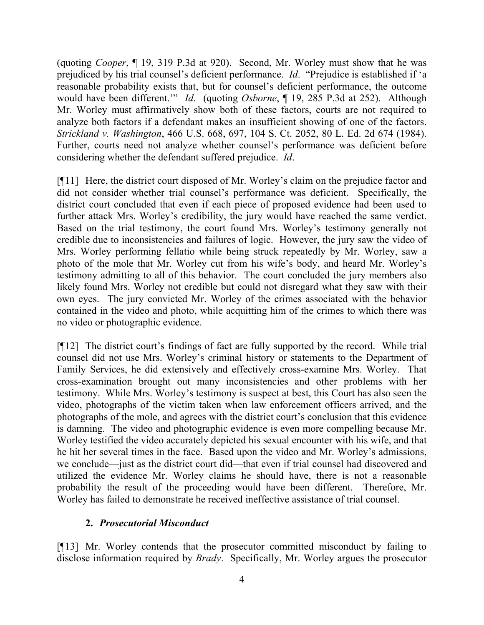(quoting *Cooper*, ¶ 19, 319 P.3d at 920). Second, Mr. Worley must show that he was prejudiced by his trial counsel's deficient performance. *Id*. "Prejudice is established if 'a reasonable probability exists that, but for counsel's deficient performance, the outcome would have been different.'" *Id*. (quoting *Osborne*, ¶ 19, 285 P.3d at 252). Although Mr. Worley must affirmatively show both of these factors, courts are not required to analyze both factors if a defendant makes an insufficient showing of one of the factors. *Strickland v. Washington*, 466 U.S. 668, 697, 104 S. Ct. 2052, 80 L. Ed. 2d 674 (1984). Further, courts need not analyze whether counsel's performance was deficient before considering whether the defendant suffered prejudice. *Id*.

[¶11] Here, the district court disposed of Mr. Worley's claim on the prejudice factor and did not consider whether trial counsel's performance was deficient. Specifically, the district court concluded that even if each piece of proposed evidence had been used to further attack Mrs. Worley's credibility, the jury would have reached the same verdict. Based on the trial testimony, the court found Mrs. Worley's testimony generally not credible due to inconsistencies and failures of logic. However, the jury saw the video of Mrs. Worley performing fellatio while being struck repeatedly by Mr. Worley, saw a photo of the mole that Mr. Worley cut from his wife's body, and heard Mr. Worley's testimony admitting to all of this behavior. The court concluded the jury members also likely found Mrs. Worley not credible but could not disregard what they saw with their own eyes. The jury convicted Mr. Worley of the crimes associated with the behavior contained in the video and photo, while acquitting him of the crimes to which there was no video or photographic evidence.

[¶12] The district court's findings of fact are fully supported by the record. While trial counsel did not use Mrs. Worley's criminal history or statements to the Department of Family Services, he did extensively and effectively cross-examine Mrs. Worley. That cross-examination brought out many inconsistencies and other problems with her testimony. While Mrs. Worley's testimony is suspect at best, this Court has also seen the video, photographs of the victim taken when law enforcement officers arrived, and the photographs of the mole, and agrees with the district court's conclusion that this evidence is damning. The video and photographic evidence is even more compelling because Mr. Worley testified the video accurately depicted his sexual encounter with his wife, and that he hit her several times in the face. Based upon the video and Mr. Worley's admissions, we conclude—just as the district court did—that even if trial counsel had discovered and utilized the evidence Mr. Worley claims he should have, there is not a reasonable probability the result of the proceeding would have been different. Therefore, Mr. Worley has failed to demonstrate he received ineffective assistance of trial counsel.

### **2.** *Prosecutorial Misconduct*

[¶13] Mr. Worley contends that the prosecutor committed misconduct by failing to disclose information required by *Brady*. Specifically, Mr. Worley argues the prosecutor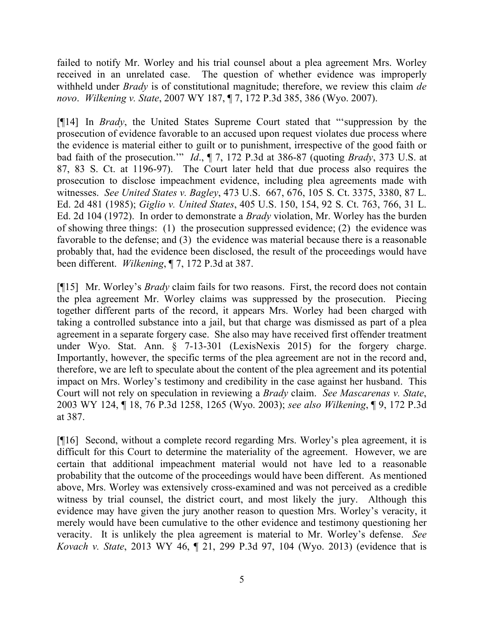failed to notify Mr. Worley and his trial counsel about a plea agreement Mrs. Worley received in an unrelated case. The question of whether evidence was improperly withheld under *Brady* is of constitutional magnitude; therefore, we review this claim *de novo*. *Wilkening v. State*, 2007 WY 187, ¶ 7, 172 P.3d 385, 386 (Wyo. 2007).

[¶14] In *Brady*, the United States Supreme Court stated that "'suppression by the prosecution of evidence favorable to an accused upon request violates due process where the evidence is material either to guilt or to punishment, irrespective of the good faith or bad faith of the prosecution.'" *Id*., ¶ 7, 172 P.3d at 386-87 (quoting *Brady*, 373 U.S. at 87, 83 S. Ct. at 1196-97). The Court later held that due process also requires the prosecution to disclose impeachment evidence, including plea agreements made with witnesses. *See United States v. Bagley*, 473 U.S. 667, 676, 105 S. Ct. 3375, 3380, 87 L. Ed. 2d 481 (1985); *Giglio v. United States*, 405 U.S. 150, 154, 92 S. Ct. 763, 766, 31 L. Ed. 2d 104 (1972). In order to demonstrate a *Brady* violation, Mr. Worley has the burden of showing three things: (1) the prosecution suppressed evidence; (2) the evidence was favorable to the defense; and (3) the evidence was material because there is a reasonable probably that, had the evidence been disclosed, the result of the proceedings would have been different. *Wilkening*, ¶ 7, 172 P.3d at 387.

[¶15] Mr. Worley's *Brady* claim fails for two reasons. First, the record does not contain the plea agreement Mr. Worley claims was suppressed by the prosecution. Piecing together different parts of the record, it appears Mrs. Worley had been charged with taking a controlled substance into a jail, but that charge was dismissed as part of a plea agreement in a separate forgery case. She also may have received first offender treatment under Wyo. Stat. Ann. § 7-13-301 (LexisNexis 2015) for the forgery charge. Importantly, however, the specific terms of the plea agreement are not in the record and, therefore, we are left to speculate about the content of the plea agreement and its potential impact on Mrs. Worley's testimony and credibility in the case against her husband. This Court will not rely on speculation in reviewing a *Brady* claim. *See Mascarenas v. State*, 2003 WY 124, ¶ 18, 76 P.3d 1258, 1265 (Wyo. 2003); *see also Wilkening*, ¶ 9, 172 P.3d at 387.

[¶16] Second, without a complete record regarding Mrs. Worley's plea agreement, it is difficult for this Court to determine the materiality of the agreement. However, we are certain that additional impeachment material would not have led to a reasonable probability that the outcome of the proceedings would have been different. As mentioned above, Mrs. Worley was extensively cross-examined and was not perceived as a credible witness by trial counsel, the district court, and most likely the jury. Although this evidence may have given the jury another reason to question Mrs. Worley's veracity, it merely would have been cumulative to the other evidence and testimony questioning her veracity. It is unlikely the plea agreement is material to Mr. Worley's defense. *See Kovach v. State*, 2013 WY 46, ¶ 21, 299 P.3d 97, 104 (Wyo. 2013) (evidence that is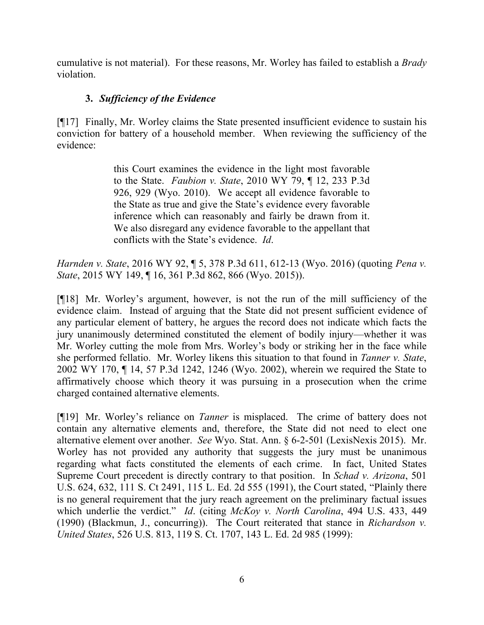cumulative is not material). For these reasons, Mr. Worley has failed to establish a *Brady* violation.

## **3.** *Sufficiency of the Evidence*

[¶17] Finally, Mr. Worley claims the State presented insufficient evidence to sustain his conviction for battery of a household member. When reviewing the sufficiency of the evidence:

> this Court examines the evidence in the light most favorable to the State. *Faubion v. State*, 2010 WY 79, ¶ 12, 233 P.3d 926, 929 (Wyo. 2010). We accept all evidence favorable to the State as true and give the State's evidence every favorable inference which can reasonably and fairly be drawn from it. We also disregard any evidence favorable to the appellant that conflicts with the State's evidence. *Id*.

*Harnden v. State*, 2016 WY 92, ¶ 5, 378 P.3d 611, 612-13 (Wyo. 2016) (quoting *Pena v. State*, 2015 WY 149, ¶ 16, 361 P.3d 862, 866 (Wyo. 2015)).

[¶18] Mr. Worley's argument, however, is not the run of the mill sufficiency of the evidence claim. Instead of arguing that the State did not present sufficient evidence of any particular element of battery, he argues the record does not indicate which facts the jury unanimously determined constituted the element of bodily injury—whether it was Mr. Worley cutting the mole from Mrs. Worley's body or striking her in the face while she performed fellatio. Mr. Worley likens this situation to that found in *Tanner v. State*, 2002 WY 170, ¶ 14, 57 P.3d 1242, 1246 (Wyo. 2002), wherein we required the State to affirmatively choose which theory it was pursuing in a prosecution when the crime charged contained alternative elements.

[¶19] Mr. Worley's reliance on *Tanner* is misplaced. The crime of battery does not contain any alternative elements and, therefore, the State did not need to elect one alternative element over another. *See* Wyo. Stat. Ann. § 6-2-501 (LexisNexis 2015). Mr. Worley has not provided any authority that suggests the jury must be unanimous regarding what facts constituted the elements of each crime. In fact, United States Supreme Court precedent is directly contrary to that position. In *Schad v. Arizona*, 501 U.S. 624, 632, 111 S. Ct 2491, 115 L. Ed. 2d 555 (1991), the Court stated, "Plainly there is no general requirement that the jury reach agreement on the preliminary factual issues which underlie the verdict." *Id*. (citing *McKoy v. North Carolina*, 494 U.S. 433, 449 (1990) (Blackmun, J., concurring)). The Court reiterated that stance in *Richardson v. United States*, 526 U.S. 813, 119 S. Ct. 1707, 143 L. Ed. 2d 985 (1999):